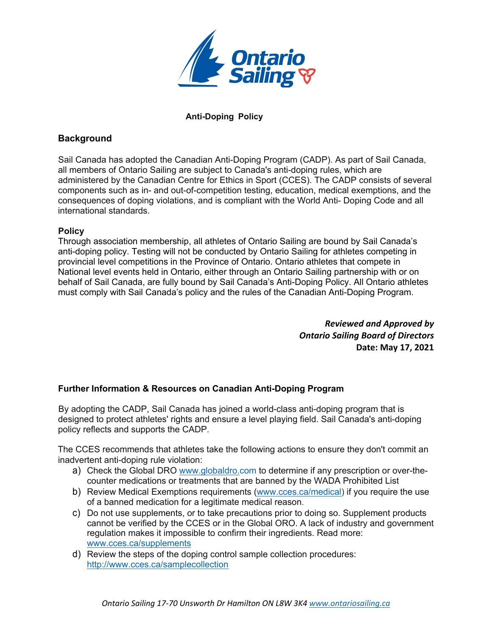

## **Anti-Doping Policy**

## **Background**

Sail Canada has adopted the Canadian Anti-Doping Program (CADP). As part of Sail Canada, all members of Ontario Sailing are subject to Canada's anti-doping rules, which are administered by the Canadian Centre for Ethics in Sport (CCES). The CADP consists of several components such as in- and out-of-competition testing, education, medical exemptions, and the consequences of doping violations, and is compliant with the World Anti- Doping Code and all international standards.

## **Policy**

Through association membership, all athletes of Ontario Sailing are bound by Sail Canada's anti-doping policy. Testing will not be conducted by Ontario Sailing for athletes competing in provincial level competitions in the Province of Ontario. Ontario athletes that compete in National level events held in Ontario, either through an Ontario Sailing partnership with or on behalf of Sail Canada, are fully bound by Sail Canada's Anti-Doping Policy. All Ontario athletes must comply with Sail Canada's policy and the rules of the Canadian Anti-Doping Program.

> *Reviewed and Approved by Ontario Sailing Board of Directors*  **Date: May 17, 2021**

## **Further Information & Resources on Canadian Anti-Doping Program**

By adopting the CADP, Sail Canada has joined a world-class anti-doping program that is designed to protect athletes' rights and ensure a level playing field. Sail Canada's anti-doping policy reflects and supports the CADP.

The CCES recommends that athletes take the following actions to ensure they don't commit an inadvertent anti-doping rule violation:

- a) Check the Global DRO www.globaldro.com to determine if any prescription or over-thecounter medications or treatments that are banned by the WADA Prohibited List
- b) Review Medical Exemptions requirements (www.cces.ca/medical) if you require the use of a banned medication for a legitimate medical reason.
- c) Do not use supplements, or to take precautions prior to doing so. Supplement products cannot be verified by the CCES or in the Global ORO. A lack of industry and government regulation makes it impossible to confirm their ingredients. Read more: www.cces.ca/supplements
- d) Review the steps of the doping control sample collection procedures: http://www.cces.ca/samplecollection